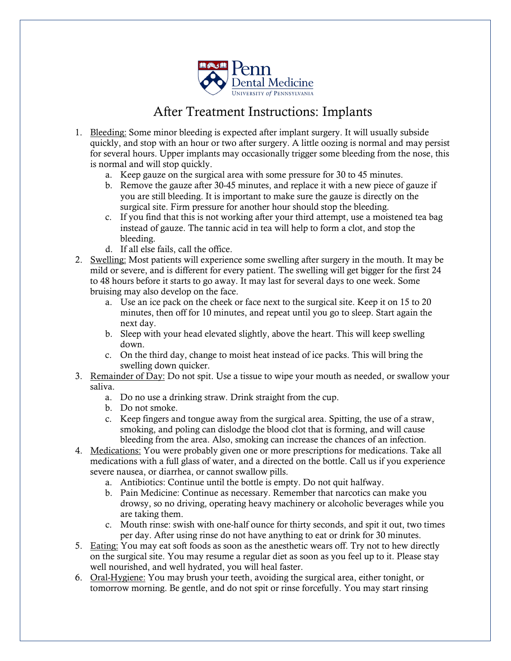

## After Treatment Instructions: Implants

- 1. Bleeding: Some minor bleeding is expected after implant surgery. It will usually subside quickly, and stop with an hour or two after surgery. A little oozing is normal and may persist for several hours. Upper implants may occasionally trigger some bleeding from the nose, this is normal and will stop quickly.
	- a. Keep gauze on the surgical area with some pressure for 30 to 45 minutes.
	- b. Remove the gauze after 30-45 minutes, and replace it with a new piece of gauze if you are still bleeding. It is important to make sure the gauze is directly on the surgical site. Firm pressure for another hour should stop the bleeding.
	- c. If you find that this is not working after your third attempt, use a moistened tea bag instead of gauze. The tannic acid in tea will help to form a clot, and stop the bleeding.
	- d. If all else fails, call the office.
- 2. Swelling: Most patients will experience some swelling after surgery in the mouth. It may be mild or severe, and is different for every patient. The swelling will get bigger for the first 24 to 48 hours before it starts to go away. It may last for several days to one week. Some bruising may also develop on the face.
	- a. Use an ice pack on the cheek or face next to the surgical site. Keep it on 15 to 20 minutes, then off for 10 minutes, and repeat until you go to sleep. Start again the next day.
	- b. Sleep with your head elevated slightly, above the heart. This will keep swelling down.
	- c. On the third day, change to moist heat instead of ice packs. This will bring the swelling down quicker.
- 3. Remainder of Day: Do not spit. Use a tissue to wipe your mouth as needed, or swallow your saliva.
	- a. Do no use a drinking straw. Drink straight from the cup.
	- b. Do not smoke.
	- c. Keep fingers and tongue away from the surgical area. Spitting, the use of a straw, smoking, and poling can dislodge the blood clot that is forming, and will cause bleeding from the area. Also, smoking can increase the chances of an infection.
- 4. Medications: You were probably given one or more prescriptions for medications. Take all medications with a full glass of water, and a directed on the bottle. Call us if you experience severe nausea, or diarrhea, or cannot swallow pills.
	- a. Antibiotics: Continue until the bottle is empty. Do not quit halfway.
	- b. Pain Medicine: Continue as necessary. Remember that narcotics can make you drowsy, so no driving, operating heavy machinery or alcoholic beverages while you are taking them.
	- c. Mouth rinse: swish with one-half ounce for thirty seconds, and spit it out, two times per day. After using rinse do not have anything to eat or drink for 30 minutes.
- 5. Eating: You may eat soft foods as soon as the anesthetic wears off. Try not to hew directly on the surgical site. You may resume a regular diet as soon as you feel up to it. Please stay well nourished, and well hydrated, you will heal faster.
- 6. Oral-Hygiene: You may brush your teeth, avoiding the surgical area, either tonight, or tomorrow morning. Be gentle, and do not spit or rinse forcefully. You may start rinsing